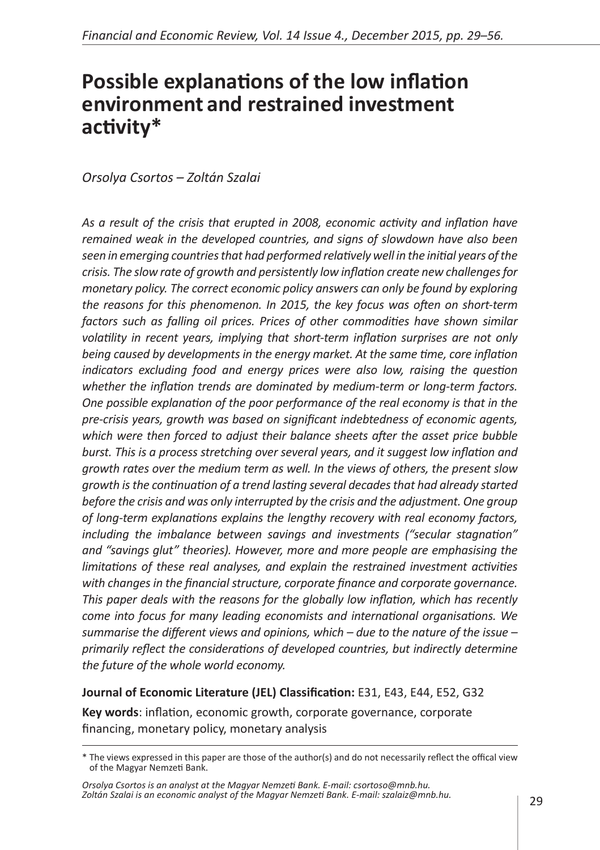# **Possible explanations of the low inflation environment and restrained investment activity\***

*Orsolya Csortos – Zoltán Szalai* 

*As a result of the crisis that erupted in 2008, economic activity and inflation have remained weak in the developed countries, and signs of slowdown have also been seen in emerging countries that had performed relatively well in the initial years of the crisis. The slow rate of growth and persistently low inflation create new challenges for monetary policy. The correct economic policy answers can only be found by exploring the reasons for this phenomenon. In 2015, the key focus was often on short-term factors such as falling oil prices. Prices of other commodities have shown similar volatility in recent years, implying that short-term inflation surprises are not only being caused by developments in the energy market. At the same time, core inflation indicators excluding food and energy prices were also low, raising the question whether the inflation trends are dominated by medium-term or long-term factors. One possible explanation of the poor performance of the real economy is that in the pre-crisis years, growth was based on significant indebtedness of economic agents, which were then forced to adjust their balance sheets after the asset price bubble burst. This is a process stretching over several years, and it suggest low inflation and growth rates over the medium term as well. In the views of others, the present slow growth is the continuation of a trend lasting several decades that had already started before the crisis and was only interrupted by the crisis and the adjustment. One group of long-term explanations explains the lengthy recovery with real economy factors, including the imbalance between savings and investments ("secular stagnation" and "savings glut" theories). However, more and more people are emphasising the limitations of these real analyses, and explain the restrained investment activities with changes in the financial structure, corporate finance and corporate governance. This paper deals with the reasons for the globally low inflation, which has recently come into focus for many leading economists and international organisations. We summarise the different views and opinions, which – due to the nature of the issue – primarily reflect the considerations of developed countries, but indirectly determine the future of the whole world economy.*

**Journal of Economic Literature (JEL) Classification:** E31, E43, E44, E52, G32

**Key words**: inflation, economic growth, corporate governance, corporate financing, monetary policy, monetary analysis

<sup>\*</sup> The views expressed in this paper are those of the author(s) and do not necessarily reflect the offical view of the Magyar Nemzeti Bank.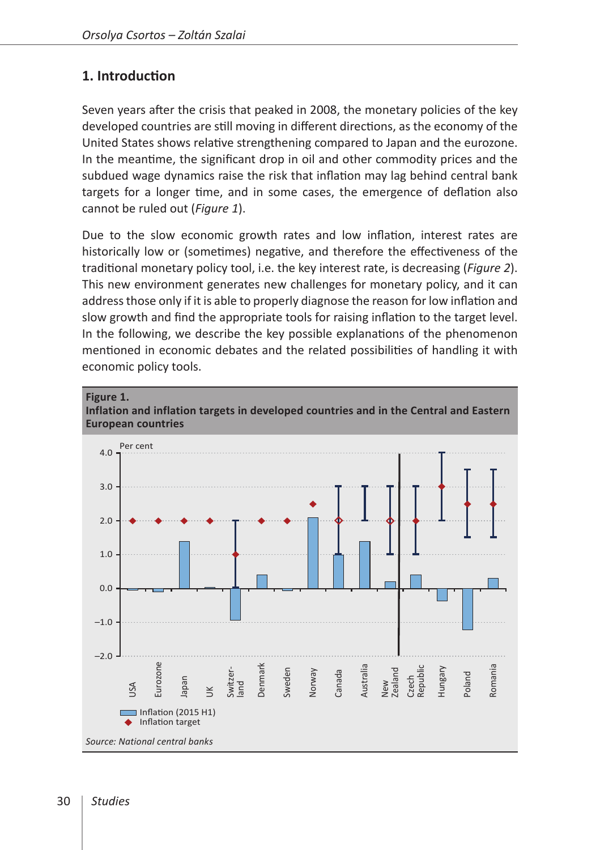# **1. Introduction**

Seven years after the crisis that peaked in 2008, the monetary policies of the key developed countries are still moving in different directions, as the economy of the United States shows relative strengthening compared to Japan and the eurozone. In the meantime, the significant drop in oil and other commodity prices and the subdued wage dynamics raise the risk that inflation may lag behind central bank targets for a longer time, and in some cases, the emergence of deflation also cannot be ruled out (*Figure 1*).

Due to the slow economic growth rates and low inflation, interest rates are historically low or (sometimes) negative, and therefore the effectiveness of the traditional monetary policy tool, i.e. the key interest rate, is decreasing (*Figure 2*). This new environment generates new challenges for monetary policy, and it can address those only if it is able to properly diagnose the reason for low inflation and slow growth and find the appropriate tools for raising inflation to the target level. In the following, we describe the key possible explanations of the phenomenon mentioned in economic debates and the related possibilities of handling it with economic policy tools.

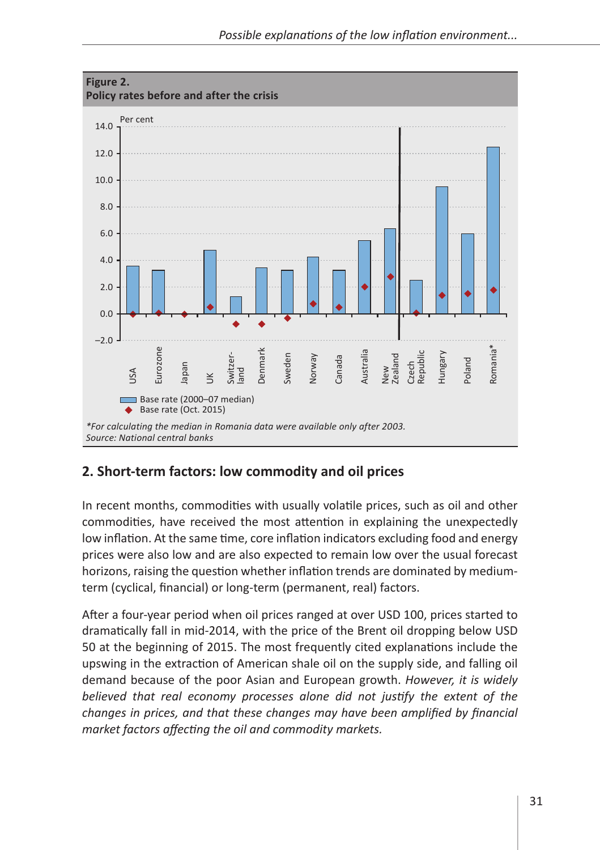

# **2. Short-term factors: low commodity and oil prices**

In recent months, commodities with usually volatile prices, such as oil and other commodities, have received the most attention in explaining the unexpectedly low inflation. At the same time, core inflation indicators excluding food and energy prices were also low and are also expected to remain low over the usual forecast horizons, raising the question whether inflation trends are dominated by mediumterm (cyclical, financial) or long-term (permanent, real) factors.

After a four-year period when oil prices ranged at over USD 100, prices started to dramatically fall in mid-2014, with the price of the Brent oil dropping below USD 50 at the beginning of 2015. The most frequently cited explanations include the upswing in the extraction of American shale oil on the supply side, and falling oil demand because of the poor Asian and European growth. *However, it is widely*  believed that real economy processes alone did not justify the extent of the *changes in prices, and that these changes may have been amplified by financial market factors affecting the oil and commodity markets.*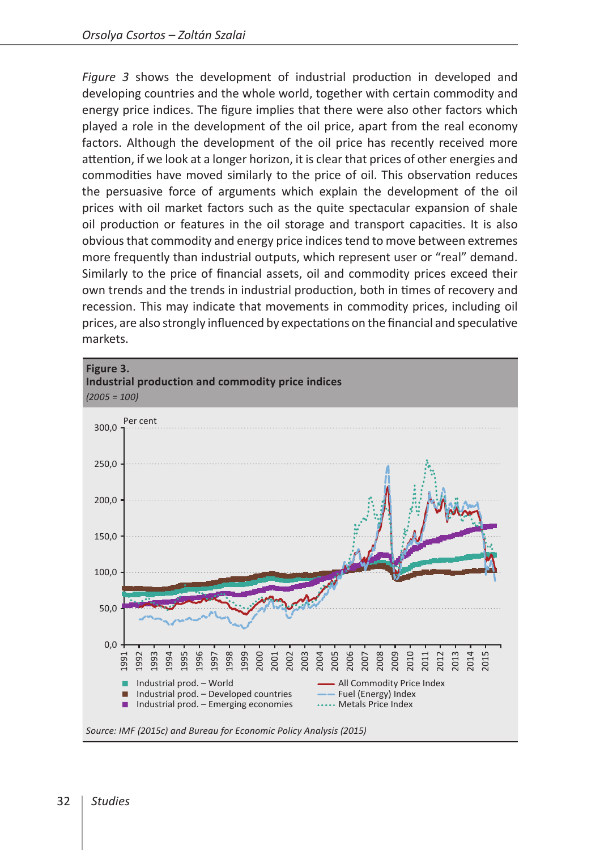*Figure 3* shows the development of industrial production in developed and developing countries and the whole world, together with certain commodity and energy price indices. The figure implies that there were also other factors which played a role in the development of the oil price, apart from the real economy factors. Although the development of the oil price has recently received more attention, if we look at a longer horizon, it is clear that prices of other energies and commodities have moved similarly to the price of oil. This observation reduces the persuasive force of arguments which explain the development of the oil prices with oil market factors such as the quite spectacular expansion of shale oil production or features in the oil storage and transport capacities. It is also obvious that commodity and energy price indices tend to move between extremes more frequently than industrial outputs, which represent user or "real" demand. Similarly to the price of financial assets, oil and commodity prices exceed their own trends and the trends in industrial production, both in times of recovery and recession. This may indicate that movements in commodity prices, including oil prices, are also strongly influenced by expectations on the financial and speculative markets.



*Source: IMF (2015c) and Bureau for Economic Policy Analysis (2015)*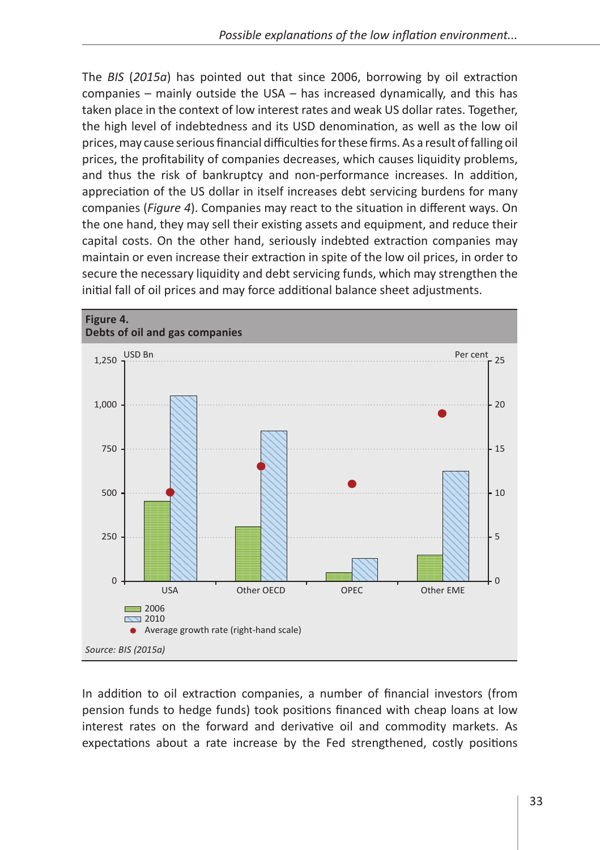The *BIS* (*2015a*) has pointed out that since 2006, borrowing by oil extraction companies – mainly outside the USA – has increased dynamically, and this has taken place in the context of low interest rates and weak US dollar rates. Together, the high level of indebtedness and its USD denomination, as well as the low oil prices, may cause serious financial difficulties for these firms. As a result of falling oil prices, the profitability of companies decreases, which causes liquidity problems, and thus the risk of bankruptcy and non-performance increases. In addition, appreciation of the US dollar in itself increases debt servicing burdens for many companies (*Figure 4*). Companies may react to the situation in different ways. On the one hand, they may sell their existing assets and equipment, and reduce their capital costs. On the other hand, seriously indebted extraction companies may maintain or even increase their extraction in spite of the low oil prices, in order to secure the necessary liquidity and debt servicing funds, which may strengthen the initial fall of oil prices and may force additional balance sheet adjustments.



In addition to oil extraction companies, a number of financial investors (from pension funds to hedge funds) took positions financed with cheap loans at low interest rates on the forward and derivative oil and commodity markets. As expectations about a rate increase by the Fed strengthened, costly positions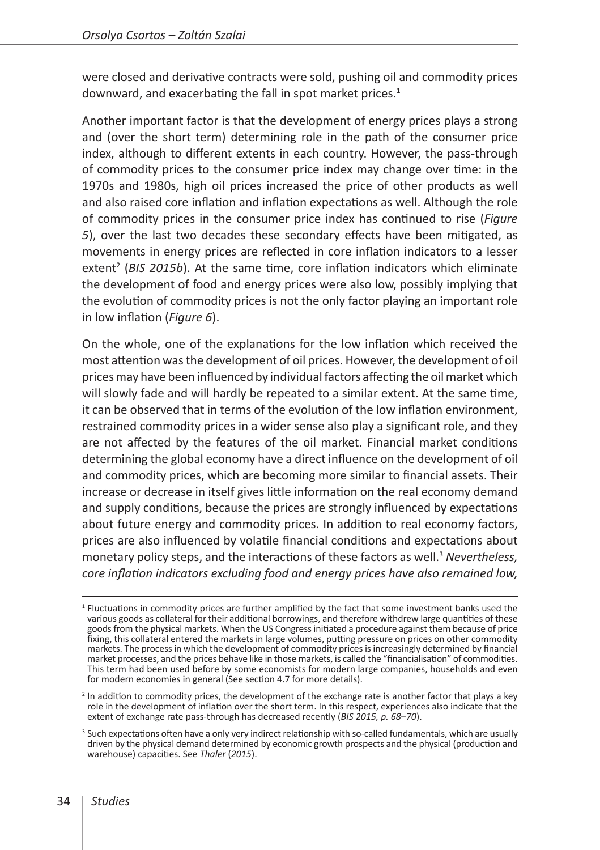were closed and derivative contracts were sold, pushing oil and commodity prices downward, and exacerbating the fall in spot market prices.<sup>1</sup>

Another important factor is that the development of energy prices plays a strong and (over the short term) determining role in the path of the consumer price index, although to different extents in each country. However, the pass-through of commodity prices to the consumer price index may change over time: in the 1970s and 1980s, high oil prices increased the price of other products as well and also raised core inflation and inflation expectations as well. Although the role of commodity prices in the consumer price index has continued to rise (*Figure 5*), over the last two decades these secondary effects have been mitigated, as movements in energy prices are reflected in core inflation indicators to a lesser extent<sup>2</sup> (BIS 2015b). At the same time, core inflation indicators which eliminate the development of food and energy prices were also low, possibly implying that the evolution of commodity prices is not the only factor playing an important role in low inflation (*Figure 6*).

On the whole, one of the explanations for the low inflation which received the most attention was the development of oil prices. However, the development of oil prices may have been influenced by individual factors affecting the oil market which will slowly fade and will hardly be repeated to a similar extent. At the same time, it can be observed that in terms of the evolution of the low inflation environment, restrained commodity prices in a wider sense also play a significant role, and they are not affected by the features of the oil market. Financial market conditions determining the global economy have a direct influence on the development of oil and commodity prices, which are becoming more similar to financial assets. Their increase or decrease in itself gives little information on the real economy demand and supply conditions, because the prices are strongly influenced by expectations about future energy and commodity prices. In addition to real economy factors, prices are also influenced by volatile financial conditions and expectations about monetary policy steps, and the interactions of these factors as well.<sup>3</sup> *Nevertheless, core inflation indicators excluding food and energy prices have also remained low,* 

<sup>&</sup>lt;sup>1</sup> Fluctuations in commodity prices are further amplified by the fact that some investment banks used the various goods as collateral for their additional borrowings, and therefore withdrew large quantities of these goods from the physical markets. When the US Congress initiated a procedure against them because of price fixing, this collateral entered the markets in large volumes, putting pressure on prices on other commodity markets. The process in which the development of commodity prices is increasingly determined by financial market processes, and the prices behave like in those markets, is called the "financialisation" of commodities. This term had been used before by some economists for modern large companies, households and even for modern economies in general (See section 4.7 for more details).

 $<sup>2</sup>$  In addition to commodity prices, the development of the exchange rate is another factor that plays a key</sup> role in the development of inflation over the short term. In this respect, experiences also indicate that the extent of exchange rate pass-through has decreased recently (*BIS 2015, p. 68–70*).

<sup>&</sup>lt;sup>3</sup> Such expectations often have a only very indirect relationship with so-called fundamentals, which are usually driven by the physical demand determined by economic growth prospects and the physical (production and warehouse) capacities. See *Thaler* (*2015*).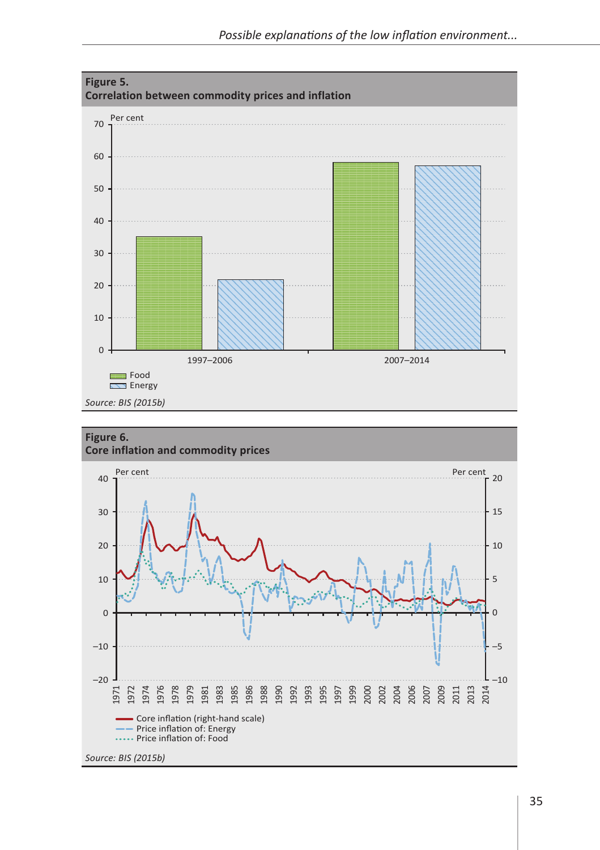

#### **Core inflation and commodity prices** –5  $\overline{0}$  –10  $\Omega$  Per cent Per cent Per cent Per cent Per cent Per cent Per cent Per cent Per cent Per cent



*Source: BIS (2015b)*

–10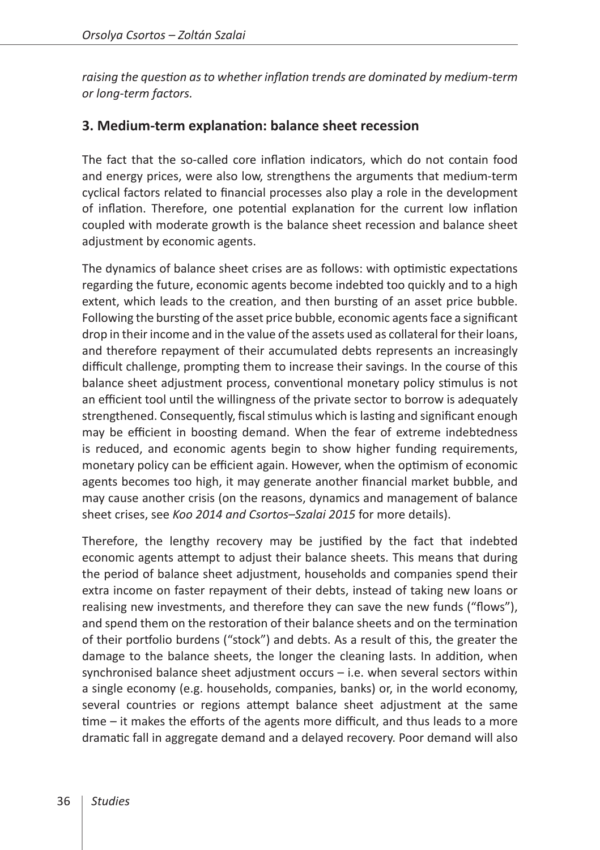*raising the question as to whether inflation trends are dominated by medium-term or long-term factors.*

### **3. Medium-term explanation: balance sheet recession**

The fact that the so-called core inflation indicators, which do not contain food and energy prices, were also low, strengthens the arguments that medium-term cyclical factors related to financial processes also play a role in the development of inflation. Therefore, one potential explanation for the current low inflation coupled with moderate growth is the balance sheet recession and balance sheet adjustment by economic agents.

The dynamics of balance sheet crises are as follows: with optimistic expectations regarding the future, economic agents become indebted too quickly and to a high extent, which leads to the creation, and then bursting of an asset price bubble. Following the bursting of the asset price bubble, economic agents face a significant drop in their income and in the value of the assets used as collateral for their loans, and therefore repayment of their accumulated debts represents an increasingly difficult challenge, prompting them to increase their savings. In the course of this balance sheet adjustment process, conventional monetary policy stimulus is not an efficient tool until the willingness of the private sector to borrow is adequately strengthened. Consequently, fiscal stimulus which is lasting and significant enough may be efficient in boosting demand. When the fear of extreme indebtedness is reduced, and economic agents begin to show higher funding requirements, monetary policy can be efficient again. However, when the optimism of economic agents becomes too high, it may generate another financial market bubble, and may cause another crisis (on the reasons, dynamics and management of balance sheet crises, see *Koo 2014 and Csortos–Szalai 2015* for more details).

Therefore, the lengthy recovery may be justified by the fact that indebted economic agents attempt to adjust their balance sheets. This means that during the period of balance sheet adjustment, households and companies spend their extra income on faster repayment of their debts, instead of taking new loans or realising new investments, and therefore they can save the new funds ("flows"), and spend them on the restoration of their balance sheets and on the termination of their portfolio burdens ("stock") and debts. As a result of this, the greater the damage to the balance sheets, the longer the cleaning lasts. In addition, when synchronised balance sheet adjustment occurs – i.e. when several sectors within a single economy (e.g. households, companies, banks) or, in the world economy, several countries or regions attempt balance sheet adjustment at the same time – it makes the efforts of the agents more difficult, and thus leads to a more dramatic fall in aggregate demand and a delayed recovery. Poor demand will also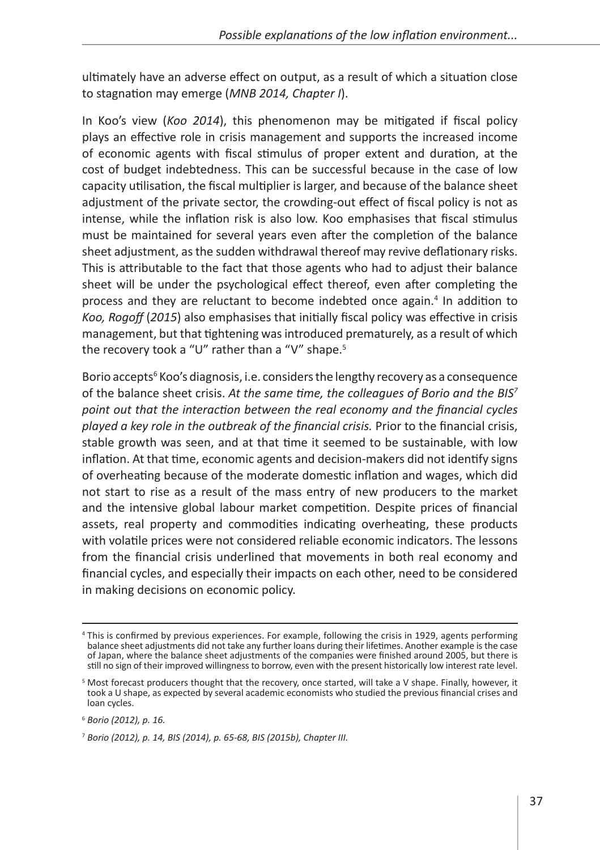ultimately have an adverse effect on output, as a result of which a situation close to stagnation may emerge (*MNB 2014, Chapter I*).

In Koo's view (*Koo 2014*), this phenomenon may be mitigated if fiscal policy plays an effective role in crisis management and supports the increased income of economic agents with fiscal stimulus of proper extent and duration, at the cost of budget indebtedness. This can be successful because in the case of low capacity utilisation, the fiscal multiplier is larger, and because of the balance sheet adjustment of the private sector, the crowding-out effect of fiscal policy is not as intense, while the inflation risk is also low. Koo emphasises that fiscal stimulus must be maintained for several years even after the completion of the balance sheet adjustment, as the sudden withdrawal thereof may revive deflationary risks. This is attributable to the fact that those agents who had to adjust their balance sheet will be under the psychological effect thereof, even after completing the process and they are reluctant to become indebted once again.<sup>4</sup> In addition to *Koo, Rogoff* (*2015*) also emphasises that initially fiscal policy was effective in crisis management, but that tightening was introduced prematurely, as a result of which the recovery took a "U" rather than a "V" shape. $5$ 

Borio accepts<sup>6</sup> Koo's diagnosis, i.e. considers the lengthy recovery as a consequence of the balance sheet crisis. *At the same time, the colleagues of Borio and the BIS7 point out that the interaction between the real economy and the financial cycles played a key role in the outbreak of the financial crisis.* Prior to the financial crisis, stable growth was seen, and at that time it seemed to be sustainable, with low inflation. At that time, economic agents and decision-makers did not identify signs of overheating because of the moderate domestic inflation and wages, which did not start to rise as a result of the mass entry of new producers to the market and the intensive global labour market competition. Despite prices of financial assets, real property and commodities indicating overheating, these products with volatile prices were not considered reliable economic indicators. The lessons from the financial crisis underlined that movements in both real economy and financial cycles, and especially their impacts on each other, need to be considered in making decisions on economic policy.

<sup>4</sup> This is confirmed by previous experiences. For example, following the crisis in 1929, agents performing balance sheet adjustments did not take any further loans during their lifetimes. Another example is the case of Japan, where the balance sheet adjustments of the companies were finished around 2005, but there is still no sign of their improved willingness to borrow, even with the present historically low interest rate level.

<sup>&</sup>lt;sup>5</sup> Most forecast producers thought that the recovery, once started, will take a V shape. Finally, however, it took a U shape, as expected by several academic economists who studied the previous financial crises and loan cycles.

<sup>6</sup> *Borio (2012), p. 16.*

<sup>7</sup> *Borio (2012), p. 14, BIS (2014), p. 65-68, BIS (2015b), Chapter III.*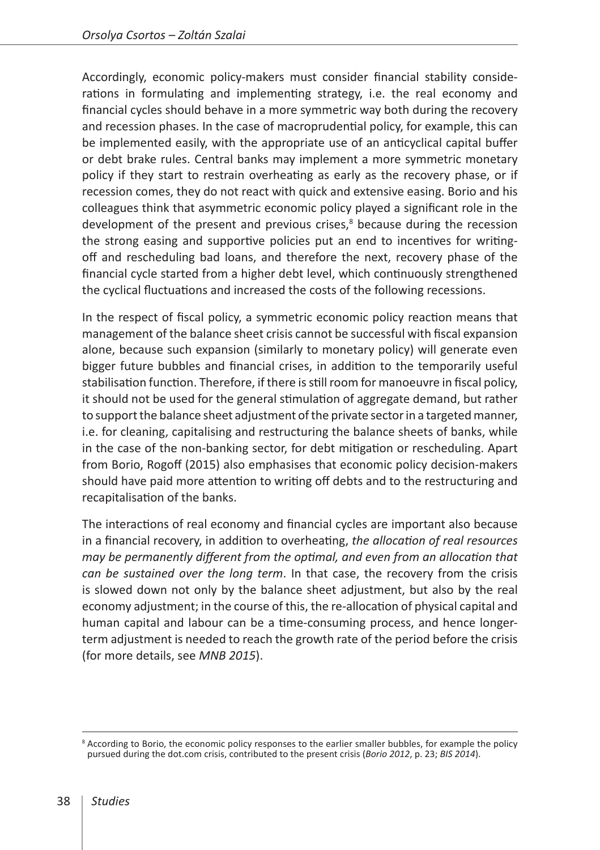Accordingly, economic policy-makers must consider financial stability considerations in formulating and implementing strategy, i.e. the real economy and financial cycles should behave in a more symmetric way both during the recovery and recession phases. In the case of macroprudential policy, for example, this can be implemented easily, with the appropriate use of an anticyclical capital buffer or debt brake rules. Central banks may implement a more symmetric monetary policy if they start to restrain overheating as early as the recovery phase, or if recession comes, they do not react with quick and extensive easing. Borio and his colleagues think that asymmetric economic policy played a significant role in the development of the present and previous crises,<sup>8</sup> because during the recession the strong easing and supportive policies put an end to incentives for writingoff and rescheduling bad loans, and therefore the next, recovery phase of the financial cycle started from a higher debt level, which continuously strengthened the cyclical fluctuations and increased the costs of the following recessions.

In the respect of fiscal policy, a symmetric economic policy reaction means that management of the balance sheet crisis cannot be successful with fiscal expansion alone, because such expansion (similarly to monetary policy) will generate even bigger future bubbles and financial crises, in addition to the temporarily useful stabilisation function. Therefore, if there is still room for manoeuvre in fiscal policy, it should not be used for the general stimulation of aggregate demand, but rather to support the balance sheet adjustment of the private sector in a targeted manner, i.e. for cleaning, capitalising and restructuring the balance sheets of banks, while in the case of the non-banking sector, for debt mitigation or rescheduling. Apart from Borio, Rogoff (2015) also emphasises that economic policy decision-makers should have paid more attention to writing off debts and to the restructuring and recapitalisation of the banks.

The interactions of real economy and financial cycles are important also because in a financial recovery, in addition to overheating, *the allocation of real resources may be permanently different from the optimal, and even from an allocation that can be sustained over the long term*. In that case, the recovery from the crisis is slowed down not only by the balance sheet adjustment, but also by the real economy adjustment; in the course of this, the re-allocation of physical capital and human capital and labour can be a time-consuming process, and hence longerterm adjustment is needed to reach the growth rate of the period before the crisis (for more details, see *MNB 2015*).

<sup>&</sup>lt;sup>8</sup> According to Borio, the economic policy responses to the earlier smaller bubbles, for example the policy pursued during the dot.com crisis, contributed to the present crisis (*Borio 2012*, p. 23; *BIS 2014*).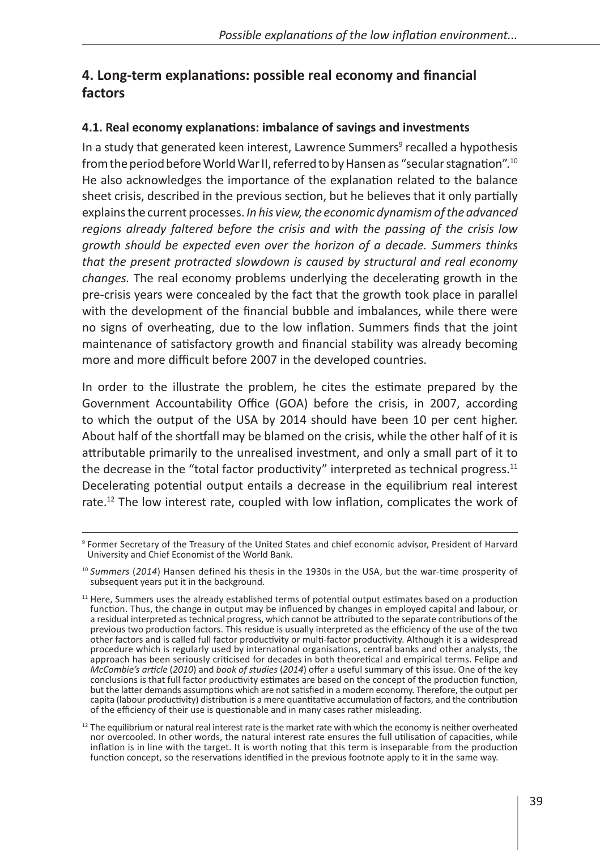## **4. Long-term explanations: possible real economy and financial factors**

#### **4.1. Real economy explanations: imbalance of savings and investments**

In a study that generated keen interest, Lawrence Summers<sup>9</sup> recalled a hypothesis from the period before World War II, referred to by Hansen as "secular stagnation".<sup>10</sup> He also acknowledges the importance of the explanation related to the balance sheet crisis, described in the previous section, but he believes that it only partially explains the current processes. *In his view, the economic dynamism of the advanced regions already faltered before the crisis and with the passing of the crisis low growth should be expected even over the horizon of a decade. Summers thinks that the present protracted slowdown is caused by structural and real economy changes.* The real economy problems underlying the decelerating growth in the pre-crisis years were concealed by the fact that the growth took place in parallel with the development of the financial bubble and imbalances, while there were no signs of overheating, due to the low inflation. Summers finds that the joint maintenance of satisfactory growth and financial stability was already becoming more and more difficult before 2007 in the developed countries.

In order to the illustrate the problem, he cites the estimate prepared by the Government Accountability Office (GOA) before the crisis, in 2007, according to which the output of the USA by 2014 should have been 10 per cent higher. About half of the shortfall may be blamed on the crisis, while the other half of it is attributable primarily to the unrealised investment, and only a small part of it to the decrease in the "total factor productivity" interpreted as technical progress. $11$ Decelerating potential output entails a decrease in the equilibrium real interest rate.<sup>12</sup> The low interest rate, coupled with low inflation, complicates the work of

<sup>9</sup> Former Secretary of the Treasury of the United States and chief economic advisor, President of Harvard University and Chief Economist of the World Bank.

<sup>10</sup> *Summers* (*2014*) Hansen defined his thesis in the 1930s in the USA, but the war-time prosperity of subsequent years put it in the background.

 $11$  Here, Summers uses the already established terms of potential output estimates based on a production function. Thus, the change in output may be influenced by changes in employed capital and labour, or a residual interpreted as technical progress, which cannot be attributed to the separate contributions of the previous two production factors. This residue is usually interpreted as the efficiency of the use of the two other factors and is called full factor productivity or multi-factor productivity. Although it is a widespread procedure which is regularly used by international organisations, central banks and other analysts, the approach has been seriously criticised for decades in both theoretical and empirical terms. Felipe and *McCombie's article* (*2010*) and *book of studies* (*2014*) offer a useful summary of this issue. One of the key conclusions is that full factor productivity estimates are based on the concept of the production function, but the latter demands assumptions which are not satisfied in a modern economy. Therefore, the output per capita (labour productivity) distribution is a mere quantitative accumulation of factors, and the contribution of the efficiency of their use is questionable and in many cases rather misleading.

 $12$  The equilibrium or natural real interest rate is the market rate with which the economy is neither overheated nor overcooled. In other words, the natural interest rate ensures the full utilisation of capacities, while inflation is in line with the target. It is worth noting that this term is inseparable from the production function concept, so the reservations identified in the previous footnote apply to it in the same way.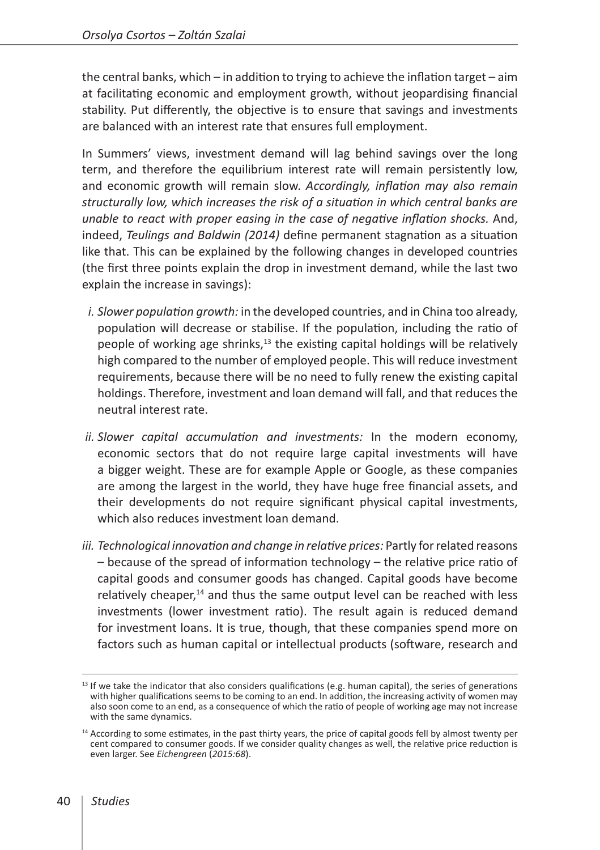the central banks, which – in addition to trying to achieve the inflation target – aim at facilitating economic and employment growth, without jeopardising financial stability. Put differently, the objective is to ensure that savings and investments are balanced with an interest rate that ensures full employment.

In Summers' views, investment demand will lag behind savings over the long term, and therefore the equilibrium interest rate will remain persistently low, and economic growth will remain slow. *Accordingly, inflation may also remain structurally low, which increases the risk of a situation in which central banks are unable to react with proper easing in the case of negative inflation shocks.* And, indeed, *Teulings and Baldwin (2014)* define permanent stagnation as a situation like that. This can be explained by the following changes in developed countries (the first three points explain the drop in investment demand, while the last two explain the increase in savings):

- *i. Slower population growth:* in the developed countries, and in China too already, population will decrease or stabilise. If the population, including the ratio of people of working age shrinks, $13$  the existing capital holdings will be relatively high compared to the number of employed people. This will reduce investment requirements, because there will be no need to fully renew the existing capital holdings. Therefore, investment and loan demand will fall, and that reduces the neutral interest rate.
- *ii. Slower capital accumulation and investments:* In the modern economy, economic sectors that do not require large capital investments will have a bigger weight. These are for example Apple or Google, as these companies are among the largest in the world, they have huge free financial assets, and their developments do not require significant physical capital investments, which also reduces investment loan demand.
- *iii. Technological innovation and change in relative prices:* Partly for related reasons – because of the spread of information technology – the relative price ratio of capital goods and consumer goods has changed. Capital goods have become relatively cheaper, $14$  and thus the same output level can be reached with less investments (lower investment ratio). The result again is reduced demand for investment loans. It is true, though, that these companies spend more on factors such as human capital or intellectual products (software, research and

 $<sup>13</sup>$  If we take the indicator that also considers qualifications (e.g. human capital), the series of generations</sup> with higher qualifications seems to be coming to an end. In addition, the increasing activity of women may also soon come to an end, as a consequence of which the ratio of people of working age may not increase with the same dynamics.

<sup>&</sup>lt;sup>14</sup> According to some estimates, in the past thirty years, the price of capital goods fell by almost twenty per cent compared to consumer goods. If we consider quality changes as well, the relative price reduction is even larger. See *Eichengreen* (*2015:68*).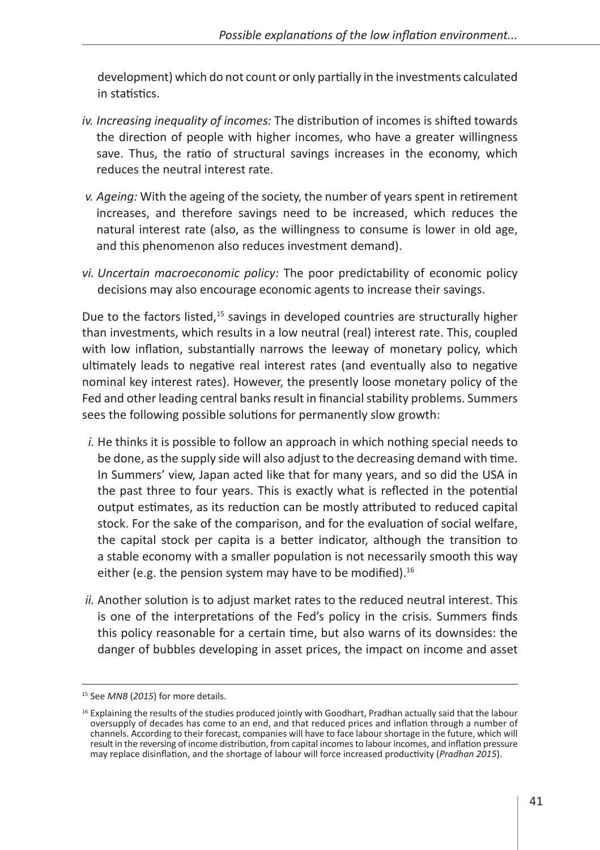development) which do not count or only partially in the investments calculated in statistics.

- *iv. Increasing inequality of incomes:* The distribution of incomes is shifted towards the direction of people with higher incomes, who have a greater willingness save. Thus, the ratio of structural savings increases in the economy, which reduces the neutral interest rate.
- *v. Ageing:* With the ageing of the society, the number of years spent in retirement increases, and therefore savings need to be increased, which reduces the natural interest rate (also, as the willingness to consume is lower in old age, and this phenomenon also reduces investment demand).
- *vi. Uncertain macroeconomic policy:* The poor predictability of economic policy decisions may also encourage economic agents to increase their savings.

Due to the factors listed,<sup>15</sup> savings in developed countries are structurally higher than investments, which results in a low neutral (real) interest rate. This, coupled with low inflation, substantially narrows the leeway of monetary policy, which ultimately leads to negative real interest rates (and eventually also to negative nominal key interest rates). However, the presently loose monetary policy of the Fed and other leading central banks result in financial stability problems. Summers sees the following possible solutions for permanently slow growth:

- *i.* He thinks it is possible to follow an approach in which nothing special needs to be done, as the supply side will also adjust to the decreasing demand with time. In Summers' view, Japan acted like that for many years, and so did the USA in the past three to four years. This is exactly what is reflected in the potential output estimates, as its reduction can be mostly attributed to reduced capital stock. For the sake of the comparison, and for the evaluation of social welfare, the capital stock per capita is a better indicator, although the transition to a stable economy with a smaller population is not necessarily smooth this way either (e.g. the pension system may have to be modified).<sup>16</sup>
- *ii.* Another solution is to adjust market rates to the reduced neutral interest. This is one of the interpretations of the Fed's policy in the crisis. Summers finds this policy reasonable for a certain time, but also warns of its downsides: the danger of bubbles developing in asset prices, the impact on income and asset

<sup>15</sup> See *MNB* (*2015*) for more details.

<sup>&</sup>lt;sup>16</sup> Explaining the results of the studies produced jointly with Goodhart, Pradhan actually said that the labour oversupply of decades has come to an end, and that reduced prices and inflation through a number of channels. According to their forecast, companies will have to face labour shortage in the future, which will result in the reversing of income distribution, from capital incomes to labour incomes, and inflation pressure may replace disinflation, and the shortage of labour will force increased productivity (*Pradhan 2015*).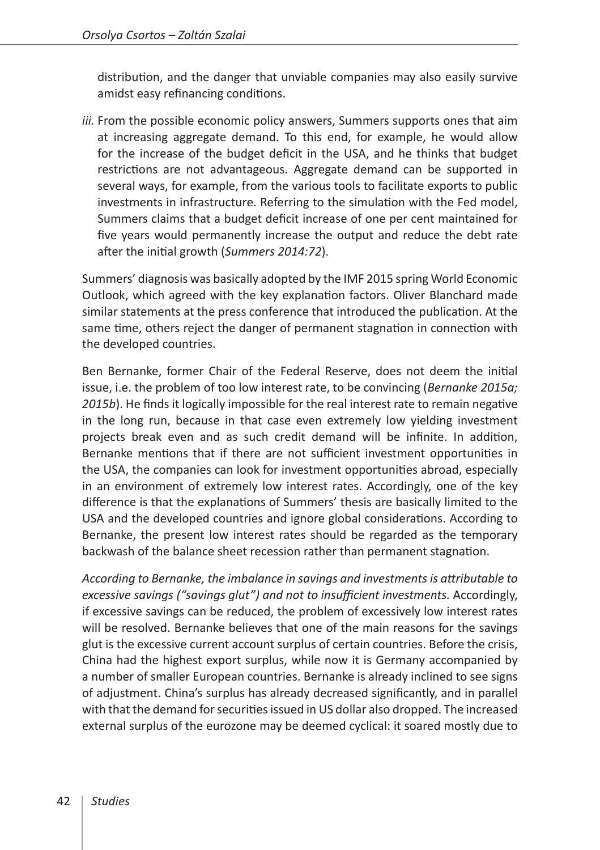distribution, and the danger that unviable companies may also easily survive amidst easy refinancing conditions.

*iii.* From the possible economic policy answers, Summers supports ones that aim at increasing aggregate demand. To this end, for example, he would allow for the increase of the budget deficit in the USA, and he thinks that budget restrictions are not advantageous. Aggregate demand can be supported in several ways, for example, from the various tools to facilitate exports to public investments in infrastructure. Referring to the simulation with the Fed model, Summers claims that a budget deficit increase of one per cent maintained for five years would permanently increase the output and reduce the debt rate after the initial growth (*Summers 2014:72*).

Summers' diagnosis was basically adopted by the IMF 2015 spring World Economic Outlook, which agreed with the key explanation factors. Oliver Blanchard made similar statements at the press conference that introduced the publication. At the same time, others reject the danger of permanent stagnation in connection with the developed countries.

Ben Bernanke, former Chair of the Federal Reserve, does not deem the initial issue, i.e. the problem of too low interest rate, to be convincing (*Bernanke 2015a; 2015b*). He finds it logically impossible for the real interest rate to remain negative in the long run, because in that case even extremely low yielding investment projects break even and as such credit demand will be infinite. In addition, Bernanke mentions that if there are not sufficient investment opportunities in the USA, the companies can look for investment opportunities abroad, especially in an environment of extremely low interest rates. Accordingly, one of the key difference is that the explanations of Summers' thesis are basically limited to the USA and the developed countries and ignore global considerations. According to Bernanke, the present low interest rates should be regarded as the temporary backwash of the balance sheet recession rather than permanent stagnation.

*According to Bernanke, the imbalance in savings and investments is attributable to excessive savings ("savings glut") and not to insufficient investments.* Accordingly, if excessive savings can be reduced, the problem of excessively low interest rates will be resolved. Bernanke believes that one of the main reasons for the savings glut is the excessive current account surplus of certain countries. Before the crisis, China had the highest export surplus, while now it is Germany accompanied by a number of smaller European countries. Bernanke is already inclined to see signs of adjustment. China's surplus has already decreased significantly, and in parallel with that the demand for securities issued in US dollar also dropped. The increased external surplus of the eurozone may be deemed cyclical: it soared mostly due to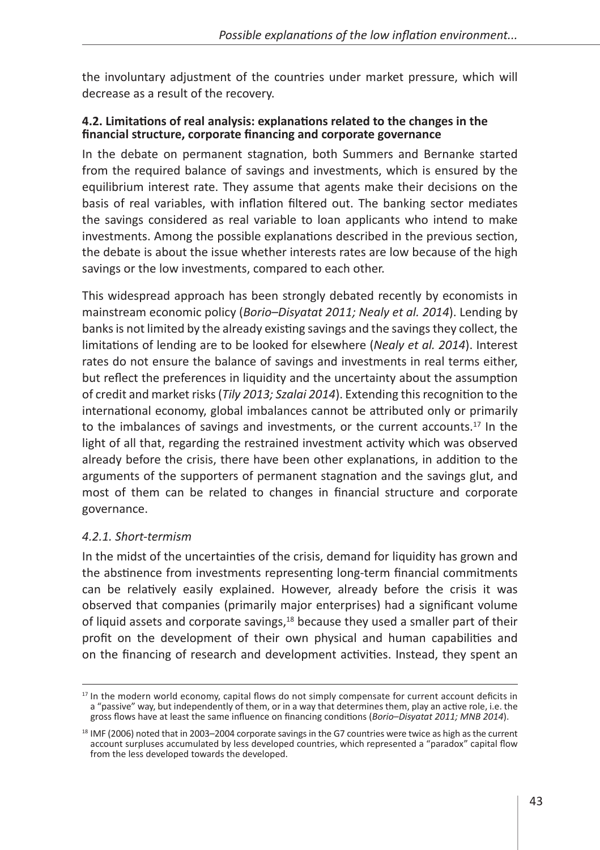the involuntary adjustment of the countries under market pressure, which will decrease as a result of the recovery.

#### **4.2. Limitations of real analysis: explanations related to the changes in the financial structure, corporate financing and corporate governance**

In the debate on permanent stagnation, both Summers and Bernanke started from the required balance of savings and investments, which is ensured by the equilibrium interest rate. They assume that agents make their decisions on the basis of real variables, with inflation filtered out. The banking sector mediates the savings considered as real variable to loan applicants who intend to make investments. Among the possible explanations described in the previous section, the debate is about the issue whether interests rates are low because of the high savings or the low investments, compared to each other.

This widespread approach has been strongly debated recently by economists in mainstream economic policy (*Borio–Disyatat 2011; Nealy et al. 2014*). Lending by banks is not limited by the already existing savings and the savings they collect, the limitations of lending are to be looked for elsewhere (*Nealy et al. 2014*). Interest rates do not ensure the balance of savings and investments in real terms either, but reflect the preferences in liquidity and the uncertainty about the assumption of credit and market risks (*Tily 2013; Szalai 2014*). Extending this recognition to the international economy, global imbalances cannot be attributed only or primarily to the imbalances of savings and investments, or the current accounts.<sup>17</sup> In the light of all that, regarding the restrained investment activity which was observed already before the crisis, there have been other explanations, in addition to the arguments of the supporters of permanent stagnation and the savings glut, and most of them can be related to changes in financial structure and corporate governance.

### *4.2.1. Short-termism*

In the midst of the uncertainties of the crisis, demand for liquidity has grown and the abstinence from investments representing long-term financial commitments can be relatively easily explained. However, already before the crisis it was observed that companies (primarily major enterprises) had a significant volume of liquid assets and corporate savings, $18$  because they used a smaller part of their profit on the development of their own physical and human capabilities and on the financing of research and development activities. Instead, they spent an

<sup>&</sup>lt;sup>17</sup> In the modern world economy, capital flows do not simply compensate for current account deficits in a "passive" way, but independently of them, or in a way that determines them, play an active role, i.e. the gross flows have at least the same influence on financing conditions (*Borio–Disyatat 2011; MNB 2014*).

<sup>&</sup>lt;sup>18</sup> IMF (2006) noted that in 2003–2004 corporate savings in the G7 countries were twice as high as the current account surpluses accumulated by less developed countries, which represented a "paradox" capital flow from the less developed towards the developed.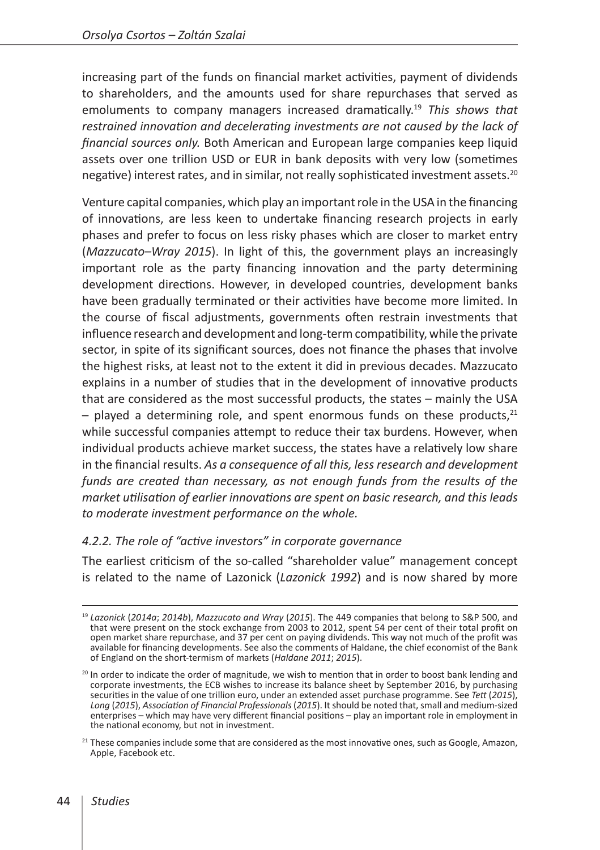increasing part of the funds on financial market activities, payment of dividends to shareholders, and the amounts used for share repurchases that served as emoluments to company managers increased dramatically.<sup>19</sup> *This shows that restrained innovation and decelerating investments are not caused by the lack of financial sources only.* Both American and European large companies keep liquid assets over one trillion USD or EUR in bank deposits with very low (sometimes negative) interest rates, and in similar, not really sophisticated investment assets.<sup>20</sup>

Venture capital companies, which play an important role in the USA in the financing of innovations, are less keen to undertake financing research projects in early phases and prefer to focus on less risky phases which are closer to market entry (*Mazzucato–Wray 2015*). In light of this, the government plays an increasingly important role as the party financing innovation and the party determining development directions. However, in developed countries, development banks have been gradually terminated or their activities have become more limited. In the course of fiscal adjustments, governments often restrain investments that influence research and development and long-term compatibility, while the private sector, in spite of its significant sources, does not finance the phases that involve the highest risks, at least not to the extent it did in previous decades. Mazzucato explains in a number of studies that in the development of innovative products that are considered as the most successful products, the states – mainly the USA – played a determining role, and spent enormous funds on these products, $^{21}$ while successful companies attempt to reduce their tax burdens. However, when individual products achieve market success, the states have a relatively low share in the financial results. *As a consequence of all this, less research and development funds are created than necessary, as not enough funds from the results of the market utilisation of earlier innovations are spent on basic research, and this leads to moderate investment performance on the whole.*

#### *4.2.2. The role of "active investors" in corporate governance*

The earliest criticism of the so-called "shareholder value" management concept is related to the name of Lazonick (*Lazonick 1992*) and is now shared by more

<sup>19</sup> *Lazonick* (*2014a*; *2014b*), *Mazzucato and Wray* (*2015*). The 449 companies that belong to S&P 500, and that were present on the stock exchange from 2003 to 2012, spent 54 per cent of their total profit on open market share repurchase, and 37 per cent on paying dividends. This way not much of the profit was available for financing developments. See also the comments of Haldane, the chief economist of the Bank of England on the short-termism of markets (*Haldane 2011*; *2015*).

 $20$  In order to indicate the order of magnitude, we wish to mention that in order to boost bank lending and corporate investments, the ECB wishes to increase its balance sheet by September 2016, by purchasing securities in the value of one trillion euro, under an extended asset purchase programme. See *Tett* (*2015*), *Long* (*2015*), *Association of Financial Professionals* (*2015*). It should be noted that, small and medium-sized enterprises – which may have very different financial positions – play an important role in employment in the national economy, but not in investment.

 $21$  These companies include some that are considered as the most innovative ones, such as Google, Amazon, Apple, Facebook etc.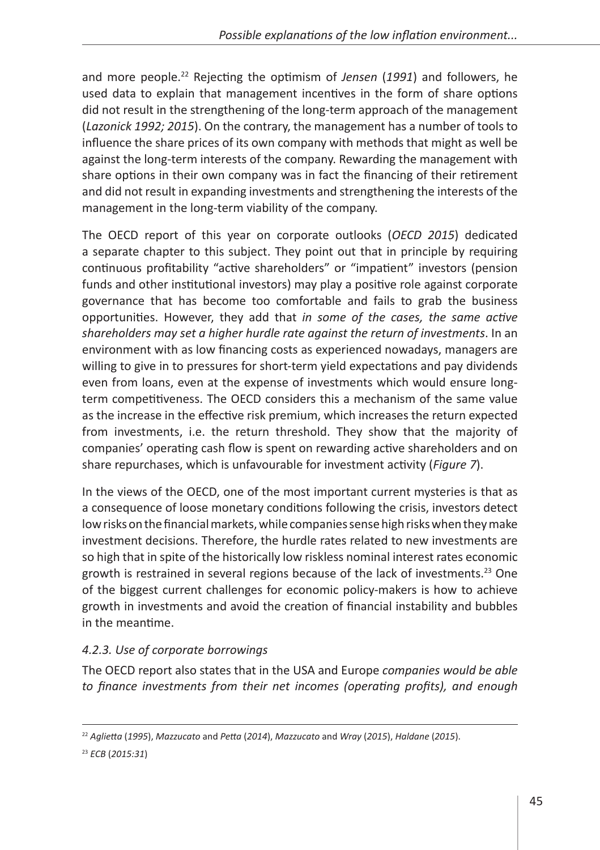and more people.<sup>22</sup> Rejecting the optimism of *Jensen* (*1991*) and followers, he used data to explain that management incentives in the form of share options did not result in the strengthening of the long-term approach of the management (*Lazonick 1992; 2015*). On the contrary, the management has a number of tools to influence the share prices of its own company with methods that might as well be against the long-term interests of the company. Rewarding the management with share options in their own company was in fact the financing of their retirement and did not result in expanding investments and strengthening the interests of the management in the long-term viability of the company.

The OECD report of this year on corporate outlooks (*OECD 2015*) dedicated a separate chapter to this subject. They point out that in principle by requiring continuous profitability "active shareholders" or "impatient" investors (pension funds and other institutional investors) may play a positive role against corporate governance that has become too comfortable and fails to grab the business opportunities. However, they add that *in some of the cases, the same active shareholders may set a higher hurdle rate against the return of investments*. In an environment with as low financing costs as experienced nowadays, managers are willing to give in to pressures for short-term yield expectations and pay dividends even from loans, even at the expense of investments which would ensure longterm competitiveness. The OECD considers this a mechanism of the same value as the increase in the effective risk premium, which increases the return expected from investments, i.e. the return threshold. They show that the majority of companies' operating cash flow is spent on rewarding active shareholders and on share repurchases, which is unfavourable for investment activity (*Figure 7*).

In the views of the OECD, one of the most important current mysteries is that as a consequence of loose monetary conditions following the crisis, investors detect low risks on the financial markets, while companies sense high risks when they make investment decisions. Therefore, the hurdle rates related to new investments are so high that in spite of the historically low riskless nominal interest rates economic growth is restrained in several regions because of the lack of investments.<sup>23</sup> One of the biggest current challenges for economic policy-makers is how to achieve growth in investments and avoid the creation of financial instability and bubbles in the meantime.

### *4.2.3. Use of corporate borrowings*

The OECD report also states that in the USA and Europe *companies would be able to finance investments from their net incomes (operating profits), and enough* 

<sup>22</sup> *Aglietta* (*1995*), *Mazzucato* and *Petta* (*2014*), *Mazzucato* and *Wray* (*2015*), *Haldane* (*2015*).

<sup>23</sup> *ECB* (*2015:31*)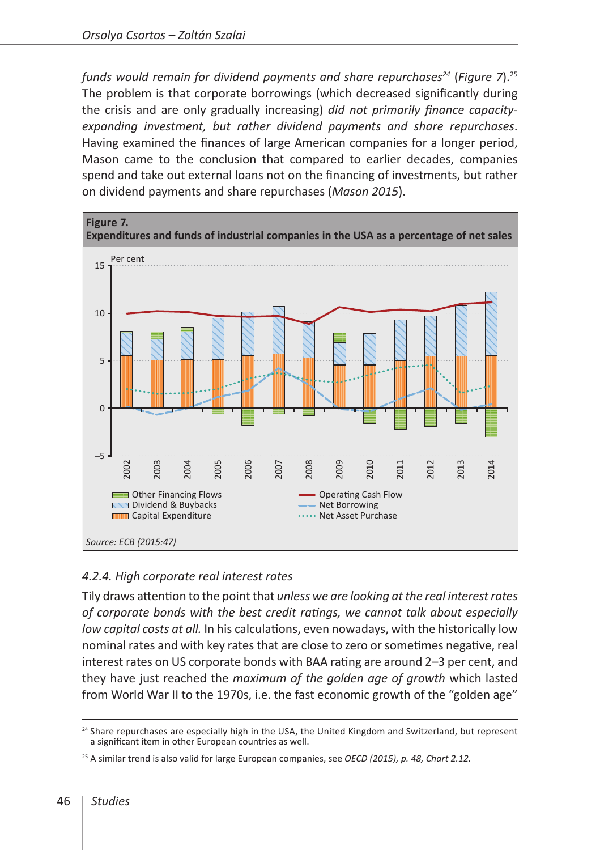*funds would remain for dividend payments and share repurchases<sup>24</sup> (Figure 7).*<sup>25</sup> The problem is that corporate borrowings (which decreased significantly during the crisis and are only gradually increasing) *did not primarily finance capacityexpanding investment, but rather dividend payments and share repurchases*. Having examined the finances of large American companies for a longer period, Mason came to the conclusion that compared to earlier decades, companies spend and take out external loans not on the financing of investments, but rather on dividend payments and share repurchases (*Mason 2015*).



#### *4.2.4. High corporate real interest rates*

Tily draws attention to the point that *unless we are looking at the real interest rates of corporate bonds with the best credit ratings, we cannot talk about especially low capital costs at all.* In his calculations, even nowadays, with the historically low nominal rates and with key rates that are close to zero or sometimes negative, real interest rates on US corporate bonds with BAA rating are around 2–3 per cent, and they have just reached the *maximum of the golden age of growth* which lasted from World War II to the 1970s, i.e. the fast economic growth of the "golden age"

<sup>&</sup>lt;sup>24</sup> Share repurchases are especially high in the USA, the United Kingdom and Switzerland, but represent a significant item in other European countries as well.

<sup>25</sup> A similar trend is also valid for large European companies, see *OECD (2015), p. 48, Chart 2.12.*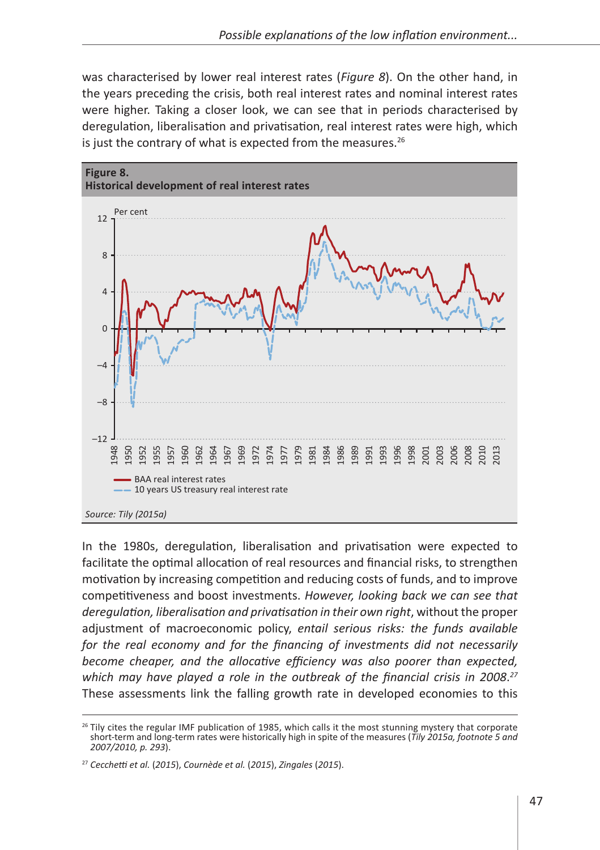was characterised by lower real interest rates (*Figure 8*). On the other hand, in the years preceding the crisis, both real interest rates and nominal interest rates were higher. Taking a closer look, we can see that in periods characterised by deregulation, liberalisation and privatisation, real interest rates were high, which is just the contrary of what is expected from the measures. $26$ 



In the 1980s, deregulation, liberalisation and privatisation were expected to facilitate the optimal allocation of real resources and financial risks, to strengthen motivation by increasing competition and reducing costs of funds, and to improve competitiveness and boost investments. *However, looking back we can see that deregulation, liberalisation and privatisation in their own right*, without the proper adjustment of macroeconomic policy, *entail serious risks: the funds available for the real economy and for the financing of investments did not necessarily become cheaper, and the allocative efficiency was also poorer than expected, which may have played a role in the outbreak of the financial crisis in 2008*. *27* These assessments link the falling growth rate in developed economies to this

 $26$  Tily cites the regular IMF publication of 1985, which calls it the most stunning mystery that corporate short-term and long-term rates were historically high in spite of the measures (*Tily 2015a, footnote 5 and 2007/2010, p. 293*).

<sup>27</sup> *Cecchetti et al.* (*2015*), *Cournède et al.* (*2015*), *Zingales* (*2015*).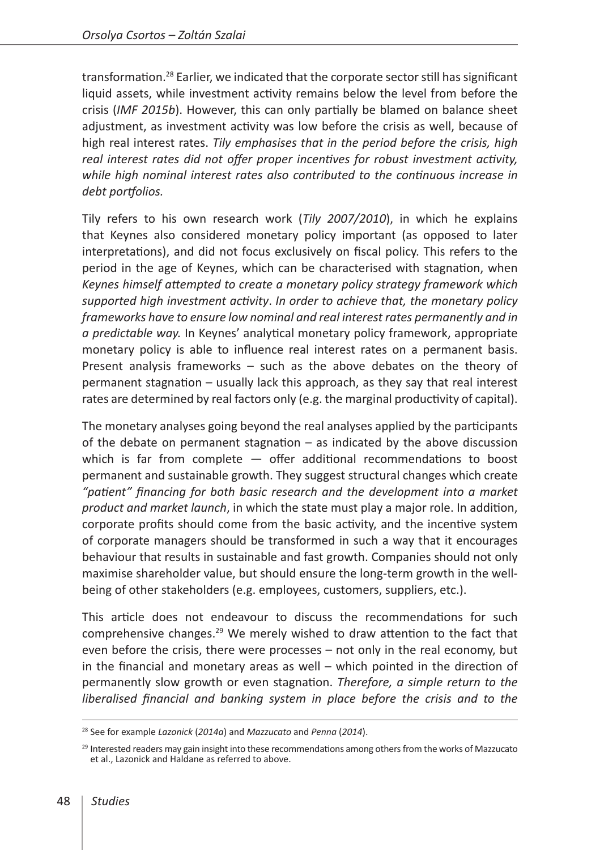transformation.28 Earlier, we indicated that the corporate sector still has significant liquid assets, while investment activity remains below the level from before the crisis (*IMF 2015b*). However, this can only partially be blamed on balance sheet adjustment, as investment activity was low before the crisis as well, because of high real interest rates. *Tily emphasises that in the period before the crisis, high real interest rates did not offer proper incentives for robust investment activity, while high nominal interest rates also contributed to the continuous increase in debt portfolios.*

Tily refers to his own research work (*Tily 2007/2010*), in which he explains that Keynes also considered monetary policy important (as opposed to later interpretations), and did not focus exclusively on fiscal policy. This refers to the period in the age of Keynes, which can be characterised with stagnation, when *Keynes himself attempted to create a monetary policy strategy framework which supported high investment activity*. *In order to achieve that, the monetary policy frameworks have to ensure low nominal and real interest rates permanently and in a predictable way.* In Keynes' analytical monetary policy framework, appropriate monetary policy is able to influence real interest rates on a permanent basis. Present analysis frameworks – such as the above debates on the theory of permanent stagnation – usually lack this approach, as they say that real interest rates are determined by real factors only (e.g. the marginal productivity of capital).

The monetary analyses going beyond the real analyses applied by the participants of the debate on permanent stagnation *–* as indicated by the above discussion which is far from complete *—* offer additional recommendations to boost permanent and sustainable growth. They suggest structural changes which create *"patient" financing for both basic research and the development into a market product and market launch*, in which the state must play a major role. In addition, corporate profits should come from the basic activity, and the incentive system of corporate managers should be transformed in such a way that it encourages behaviour that results in sustainable and fast growth. Companies should not only maximise shareholder value, but should ensure the long-term growth in the wellbeing of other stakeholders (e.g. employees, customers, suppliers, etc.).

This article does not endeavour to discuss the recommendations for such comprehensive changes.<sup>29</sup> We merely wished to draw attention to the fact that even before the crisis, there were processes – not only in the real economy, but in the financial and monetary areas as well – which pointed in the direction of permanently slow growth or even stagnation. *Therefore, a simple return to the liberalised financial and banking system in place before the crisis and to the* 

<sup>28</sup> See for example *Lazonick* (*2014a*) and *Mazzucato* and *Penna* (*2014*).

<sup>&</sup>lt;sup>29</sup> Interested readers may gain insight into these recommendations among others from the works of Mazzucato et al., Lazonick and Haldane as referred to above.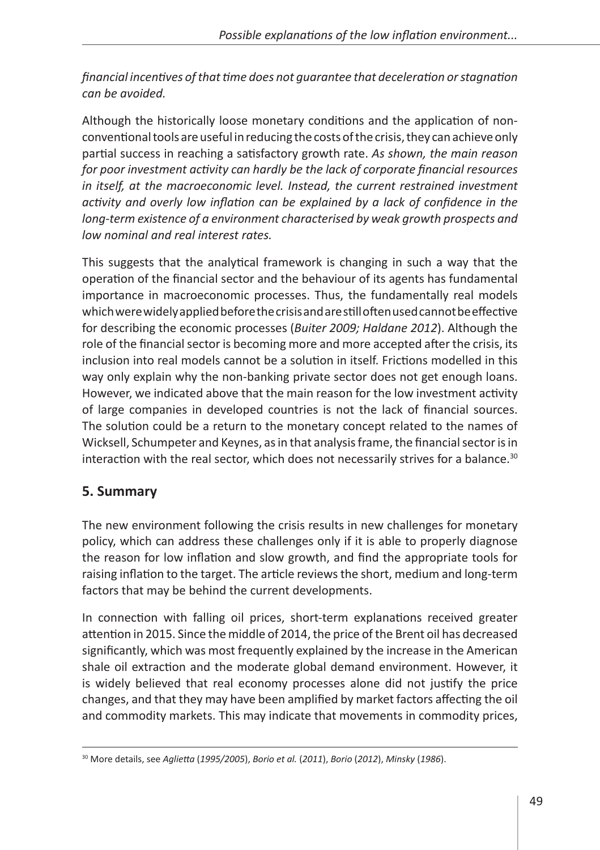*financial incentives of that time does not guarantee that deceleration or stagnation can be avoided.*

Although the historically loose monetary conditions and the application of nonconventional tools are useful in reducing the costs of the crisis, they can achieve only partial success in reaching a satisfactory growth rate. *As shown, the main reason for poor investment activity can hardly be the lack of corporate financial resources in itself, at the macroeconomic level. Instead, the current restrained investment activity and overly low inflation can be explained by a lack of confidence in the long-term existence of a environment characterised by weak growth prospects and low nominal and real interest rates.*

This suggests that the analytical framework is changing in such a way that the operation of the financial sector and the behaviour of its agents has fundamental importance in macroeconomic processes. Thus, the fundamentally real models which were widely applied before the crisis and are still often used cannot be effective for describing the economic processes (*Buiter 2009; Haldane 2012*). Although the role of the financial sector is becoming more and more accepted after the crisis, its inclusion into real models cannot be a solution in itself. Frictions modelled in this way only explain why the non-banking private sector does not get enough loans. However, we indicated above that the main reason for the low investment activity of large companies in developed countries is not the lack of financial sources. The solution could be a return to the monetary concept related to the names of Wicksell, Schumpeter and Keynes, as in that analysis frame, the financial sector is in interaction with the real sector, which does not necessarily strives for a balance. $30$ 

# **5. Summary**

The new environment following the crisis results in new challenges for monetary policy, which can address these challenges only if it is able to properly diagnose the reason for low inflation and slow growth, and find the appropriate tools for raising inflation to the target. The article reviews the short, medium and long-term factors that may be behind the current developments.

In connection with falling oil prices, short-term explanations received greater attention in 2015. Since the middle of 2014, the price of the Brent oil has decreased significantly, which was most frequently explained by the increase in the American shale oil extraction and the moderate global demand environment. However, it is widely believed that real economy processes alone did not justify the price changes, and that they may have been amplified by market factors affecting the oil and commodity markets. This may indicate that movements in commodity prices,

<sup>30</sup> More details, see *Aglietta* (*1995/2005*), *Borio et al.* (*2011*), *Borio* (*2012*), *Minsky* (*1986*).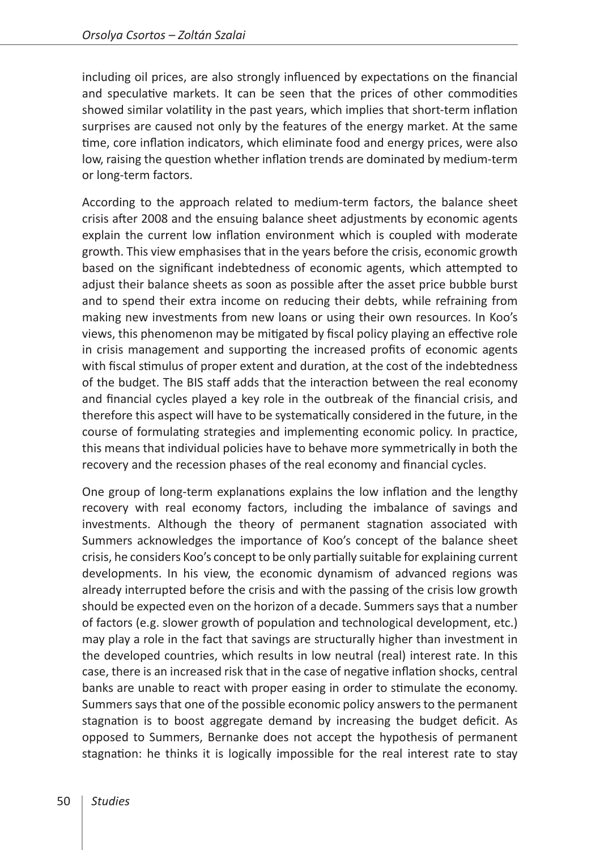including oil prices, are also strongly influenced by expectations on the financial and speculative markets. It can be seen that the prices of other commodities showed similar volatility in the past years, which implies that short-term inflation surprises are caused not only by the features of the energy market. At the same time, core inflation indicators, which eliminate food and energy prices, were also low, raising the question whether inflation trends are dominated by medium-term or long-term factors.

According to the approach related to medium-term factors, the balance sheet crisis after 2008 and the ensuing balance sheet adjustments by economic agents explain the current low inflation environment which is coupled with moderate growth. This view emphasises that in the years before the crisis, economic growth based on the significant indebtedness of economic agents, which attempted to adjust their balance sheets as soon as possible after the asset price bubble burst and to spend their extra income on reducing their debts, while refraining from making new investments from new loans or using their own resources. In Koo's views, this phenomenon may be mitigated by fiscal policy playing an effective role in crisis management and supporting the increased profits of economic agents with fiscal stimulus of proper extent and duration, at the cost of the indebtedness of the budget. The BIS staff adds that the interaction between the real economy and financial cycles played a key role in the outbreak of the financial crisis, and therefore this aspect will have to be systematically considered in the future, in the course of formulating strategies and implementing economic policy. In practice, this means that individual policies have to behave more symmetrically in both the recovery and the recession phases of the real economy and financial cycles.

One group of long-term explanations explains the low inflation and the lengthy recovery with real economy factors, including the imbalance of savings and investments. Although the theory of permanent stagnation associated with Summers acknowledges the importance of Koo's concept of the balance sheet crisis, he considers Koo's concept to be only partially suitable for explaining current developments. In his view, the economic dynamism of advanced regions was already interrupted before the crisis and with the passing of the crisis low growth should be expected even on the horizon of a decade. Summers says that a number of factors (e.g. slower growth of population and technological development, etc.) may play a role in the fact that savings are structurally higher than investment in the developed countries, which results in low neutral (real) interest rate. In this case, there is an increased risk that in the case of negative inflation shocks, central banks are unable to react with proper easing in order to stimulate the economy. Summers says that one of the possible economic policy answers to the permanent stagnation is to boost aggregate demand by increasing the budget deficit. As opposed to Summers, Bernanke does not accept the hypothesis of permanent stagnation: he thinks it is logically impossible for the real interest rate to stay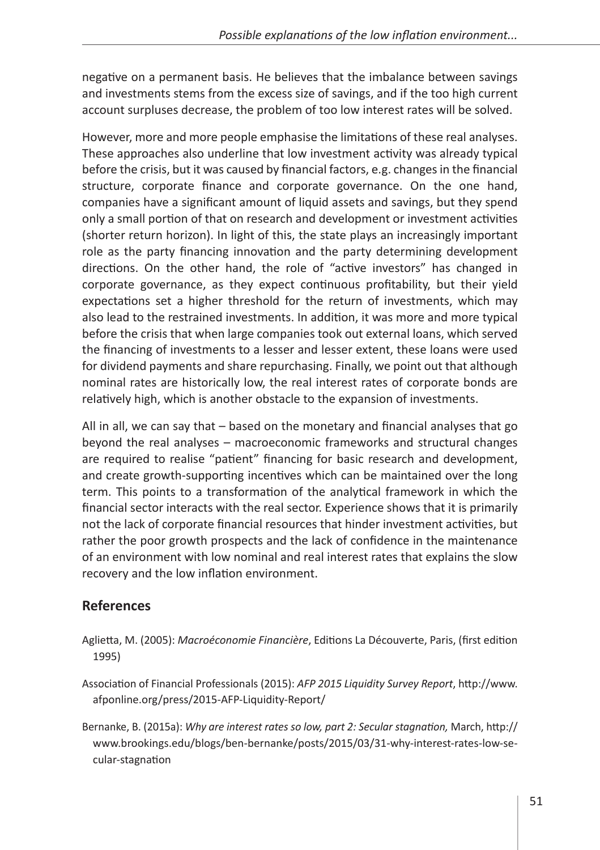negative on a permanent basis. He believes that the imbalance between savings and investments stems from the excess size of savings, and if the too high current account surpluses decrease, the problem of too low interest rates will be solved.

However, more and more people emphasise the limitations of these real analyses. These approaches also underline that low investment activity was already typical before the crisis, but it was caused by financial factors, e.g. changes in the financial structure, corporate finance and corporate governance. On the one hand, companies have a significant amount of liquid assets and savings, but they spend only a small portion of that on research and development or investment activities (shorter return horizon). In light of this, the state plays an increasingly important role as the party financing innovation and the party determining development directions. On the other hand, the role of "active investors" has changed in corporate governance, as they expect continuous profitability, but their yield expectations set a higher threshold for the return of investments, which may also lead to the restrained investments. In addition, it was more and more typical before the crisis that when large companies took out external loans, which served the financing of investments to a lesser and lesser extent, these loans were used for dividend payments and share repurchasing. Finally, we point out that although nominal rates are historically low, the real interest rates of corporate bonds are relatively high, which is another obstacle to the expansion of investments.

All in all, we can say that – based on the monetary and financial analyses that go beyond the real analyses – macroeconomic frameworks and structural changes are required to realise "patient" financing for basic research and development, and create growth-supporting incentives which can be maintained over the long term. This points to a transformation of the analytical framework in which the financial sector interacts with the real sector. Experience shows that it is primarily not the lack of corporate financial resources that hinder investment activities, but rather the poor growth prospects and the lack of confidence in the maintenance of an environment with low nominal and real interest rates that explains the slow recovery and the low inflation environment.

### **References**

- Aglietta, M. (2005): *Macroéconomie Financière*, Editions La Découverte, Paris, (first edition 1995)
- Association of Financial Professionals (2015): *AFP 2015 Liquidity Survey Report*, http://www. afponline.org/press/2015-AFP-Liquidity-Report/
- Bernanke, B. (2015a): *Why are interest rates so low, part 2: Secular stagnation,* March, http:// www.brookings.edu/blogs/ben-bernanke/posts/2015/03/31-why-interest-rates-low-secular-stagnation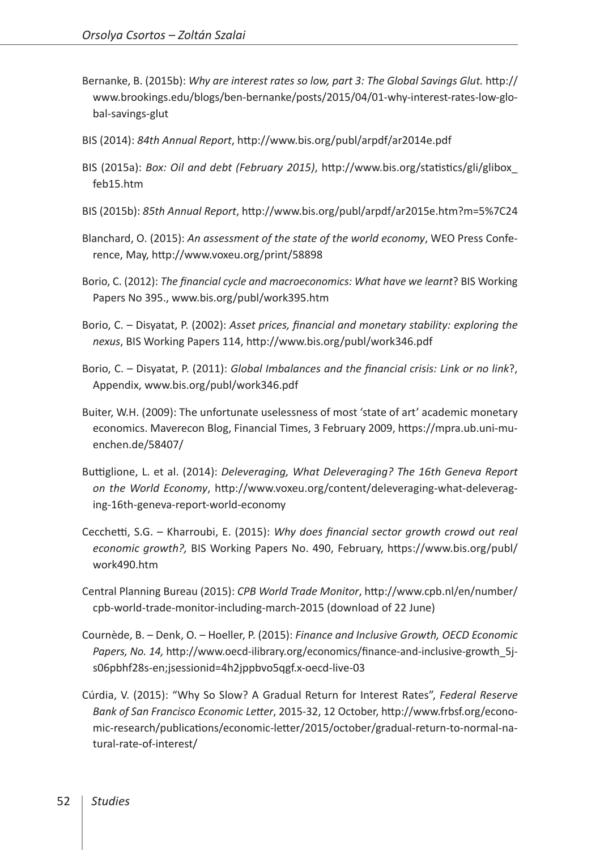- Bernanke, B. (2015b): *Why are interest rates so low, part 3: The Global Savings Glut.* http:// www.brookings.edu/blogs/ben-bernanke/posts/2015/04/01-why-interest-rates-low-global-savings-glut
- BIS (2014): *84th Annual Report*, http://www.bis.org/publ/arpdf/ar2014e.pdf
- BIS (2015a): *Box: Oil and debt (February 2015)*, http://www.bis.org/statistics/gli/glibox\_ feb15.htm
- BIS (2015b): *85th Annual Report*, http://www.bis.org/publ/arpdf/ar2015e.htm?m=5%7C24
- Blanchard, O. (2015): *An assessment of the state of the world economy*, WEO Press Conference, May, http://www.voxeu.org/print/58898
- Borio, C. (2012): *The financial cycle and macroeconomics: What have we learnt*? BIS Working Papers No 395., www.bis.org/publ/work395.htm
- Borio, C. Disyatat, P. (2002): *Asset prices, financial and monetary stability: exploring the nexus*, BIS Working Papers 114, http://www.bis.org/publ/work346.pdf
- Borio, C. Disyatat, P. (2011): *Global Imbalances and the financial crisis: Link or no link*?, Appendix, www.bis.org/publ/work346.pdf
- Buiter, W.H. (2009): The unfortunate uselessness of most 'state of art' academic monetary economics. Maverecon Blog, Financial Times, 3 February 2009, https://mpra.ub.uni-muenchen.de/58407/
- Buttiglione, L. et al. (2014): *Deleveraging, What Deleveraging? The 16th Geneva Report on the World Economy*, http://www.voxeu.org/content/deleveraging-what-deleveraging-16th-geneva-report-world-economy
- Cecchetti, S.G. Kharroubi, E. (2015): *Why does financial sector growth crowd out real economic growth?,* BIS Working Papers No. 490, February, https://www.bis.org/publ/ work490.htm
- Central Planning Bureau (2015): *CPB World Trade Monitor*, http://www.cpb.nl/en/number/ cpb-world-trade-monitor-including-march-2015 (download of 22 June)
- Cournède, B. Denk, O. Hoeller, P. (2015): *Finance and Inclusive Growth, OECD Economic Papers, No. 14,* http://www.oecd-ilibrary.org/economics/finance-and-inclusive-growth\_5js06pbhf28s-en;jsessionid=4h2jppbvo5qgf.x-oecd-live-03
- Cúrdia, V. (2015): "Why So Slow? A Gradual Return for Interest Rates", *Federal Reserve Bank of San Francisco Economic Letter*, 2015-32, 12 October, http://www.frbsf.org/economic-research/publications/economic-letter/2015/october/gradual-return-to-normal-natural-rate-of-interest/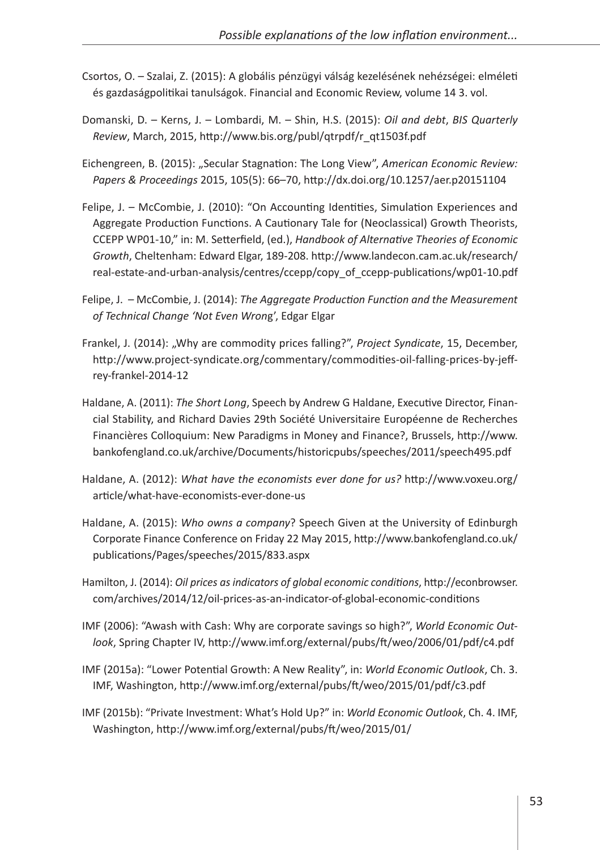- Csortos, O. Szalai, Z. (2015): A globális pénzügyi válság kezelésének nehézségei: elméleti és gazdaságpolitikai tanulságok. Financial and Economic Review, volume 14 3. vol.
- Domanski, D. Kerns, J. Lombardi, M. Shin, H.S. (2015): *Oil and debt*, *BIS Quarterly Review*, March, 2015, http://www.bis.org/publ/qtrpdf/r\_qt1503f.pdf
- Eichengreen, B. (2015): "Secular Stagnation: The Long View", *American Economic Review: Papers & Proceedings* 2015, 105(5): 66–70, http://dx.doi.org/10.1257/aer.p20151104
- Felipe, J. McCombie, J. (2010): "On Accounting Identities, Simulation Experiences and Aggregate Production Functions. A Cautionary Tale for (Neoclassical) Growth Theorists, CCEPP WP01-10," in: M. Setterfield, (ed.), *Handbook of Alternative Theories of Economic Growth*, Cheltenham: Edward Elgar, 189-208. http://www.landecon.cam.ac.uk/research/ real-estate-and-urban-analysis/centres/ccepp/copy\_of\_ccepp-publications/wp01-10.pdf
- Felipe, J. McCombie, J. (2014): *The Aggregate Production Function and the Measurement of Technical Change 'Not Even Wron*g', Edgar Elgar
- Frankel, J. (2014): "Why are commodity prices falling?", *Project Syndicate*, 15, December, http://www.project-syndicate.org/commentary/commodities-oil-falling-prices-by-jeffrey-frankel-2014-12
- Haldane, A. (2011): *The Short Long*, Speech by Andrew G Haldane, Executive Director, Financial Stability, and Richard Davies 29th Société Universitaire Européenne de Recherches Financières Colloquium: New Paradigms in Money and Finance?, Brussels, http://www. bankofengland.co.uk/archive/Documents/historicpubs/speeches/2011/speech495.pdf
- Haldane, A. (2012): *What have the economists ever done for us?* http://www.voxeu.org/ article/what-have-economists-ever-done-us
- Haldane, A. (2015): *Who owns a company*? Speech Given at the University of Edinburgh Corporate Finance Conference on Friday 22 May 2015, http://www.bankofengland.co.uk/ publications/Pages/speeches/2015/833.aspx
- Hamilton, J. (2014): *Oil prices as indicators of global economic conditions*, http://econbrowser. com/archives/2014/12/oil-prices-as-an-indicator-of-global-economic-conditions
- IMF (2006): "Awash with Cash: Why are corporate savings so high?", *World Economic Outlook*, Spring Chapter IV, http://www.imf.org/external/pubs/ft/weo/2006/01/pdf/c4.pdf
- IMF (2015a): "Lower Potential Growth: A New Reality", in: *World Economic Outlook*, Ch. 3. IMF, Washington, http://www.imf.org/external/pubs/ft/weo/2015/01/pdf/c3.pdf
- IMF (2015b): "Private Investment: What's Hold Up?" in: *World Economic Outlook*, Ch. 4. IMF, Washington, http://www.imf.org/external/pubs/ft/weo/2015/01/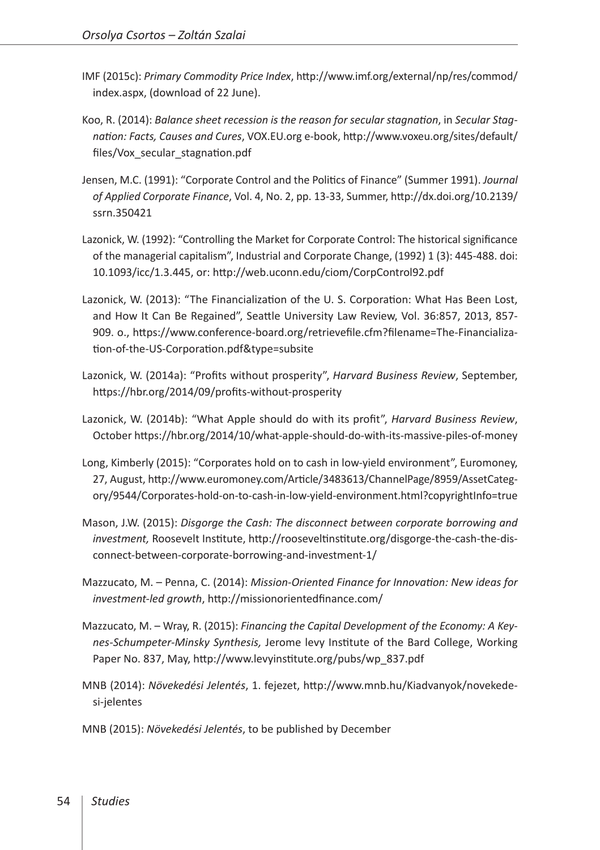- IMF (2015c): *Primary Commodity Price Index*, http://www.imf.org/external/np/res/commod/ index.aspx, (download of 22 June).
- Koo, R. (2014): *Balance sheet recession is the reason for secular stagnation*, in *Secular Stagnation: Facts, Causes and Cures*, VOX.EU.org e-book, http://www.voxeu.org/sites/default/ files/Vox\_secular\_stagnation.pdf
- Jensen, M.C. (1991): "Corporate Control and the Politics of Finance" (Summer 1991). *Journal of Applied Corporate Finance*, Vol. 4, No. 2, pp. 13-33, Summer, http://dx.doi.org/10.2139/ ssrn.350421
- Lazonick, W. (1992): "Controlling the Market for Corporate Control: The historical significance of the managerial capitalism", Industrial and Corporate Change, (1992) 1 (3): 445-488. doi: 10.1093/icc/1.3.445, or: http://web.uconn.edu/ciom/CorpControl92.pdf
- Lazonick, W. (2013): "The Financialization of the U. S. Corporation: What Has Been Lost, and How It Can Be Regained", Seattle University Law Review, Vol. 36:857, 2013, 857- 909. o., https://www.conference-board.org/retrievefile.cfm?filename=The-Financialization-of-the-US-Corporation.pdf&type=subsite
- Lazonick, W. (2014a): "Profits without prosperity", *Harvard Business Review*, September, https://hbr.org/2014/09/profits-without-prosperity
- Lazonick, W. (2014b): "What Apple should do with its profit", *Harvard Business Review*, October https://hbr.org/2014/10/what-apple-should-do-with-its-massive-piles-of-money
- Long, Kimberly (2015): "Corporates hold on to cash in low-yield environment", Euromoney, 27, August, http://www.euromoney.com/Article/3483613/ChannelPage/8959/AssetCategory/9544/Corporates-hold-on-to-cash-in-low-yield-environment.html?copyrightInfo=true
- Mason, J.W. (2015): *Disgorge the Cash: The disconnect between corporate borrowing and investment,* Roosevelt Institute, http://rooseveltinstitute.org/disgorge-the-cash-the-disconnect-between-corporate-borrowing-and-investment-1/
- Mazzucato, M. Penna, C. (2014): *Mission-Oriented Finance for Innovation: New ideas for investment-led growth*, http://missionorientedfinance.com/
- Mazzucato, M. Wray, R. (2015): *Financing the Capital Development of the Economy: A Keynes-Schumpeter-Minsky Synthesis,* Jerome levy Institute of the Bard College, Working Paper No. 837, May, http://www.levyinstitute.org/pubs/wp\_837.pdf
- MNB (2014): *Növekedési Jelentés*, 1. fejezet, http://www.mnb.hu/Kiadvanyok/novekedesi-jelentes
- MNB (2015): *Növekedési Jelentés*, to be published by December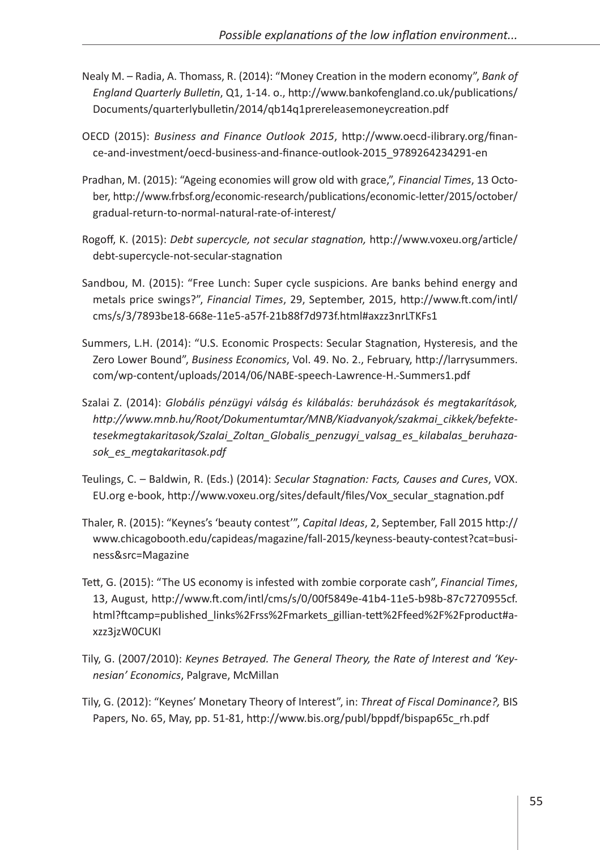- Nealy M. Radia, A. Thomass, R. (2014): "Money Creation in the modern economy", *Bank of England Quarterly Bulletin*, Q1, 1-14. o., http://www.bankofengland.co.uk/publications/ Documents/quarterlybulletin/2014/qb14q1prereleasemoneycreation.pdf
- OECD (2015): *Business and Finance Outlook 2015*, http://www.oecd-ilibrary.org/finance-and-investment/oecd-business-and-finance-outlook-2015\_9789264234291-en
- Pradhan, M. (2015): "Ageing economies will grow old with grace,", *Financial Times*, 13 October, http://www.frbsf.org/economic-research/publications/economic-letter/2015/october/ gradual-return-to-normal-natural-rate-of-interest/
- Rogoff, K. (2015): *Debt supercycle, not secular stagnation,* http://www.voxeu.org/article/ debt-supercycle-not-secular-stagnation
- Sandbou, M. (2015): "Free Lunch: Super cycle suspicions. Are banks behind energy and metals price swings?", *Financial Times*, 29, September, 2015, http://www.ft.com/intl/ cms/s/3/7893be18-668e-11e5-a57f-21b88f7d973f.html#axzz3nrLTKFs1
- Summers, L.H. (2014): "U.S. Economic Prospects: Secular Stagnation, Hysteresis, and the Zero Lower Bound", *Business Economics*, Vol. 49. No. 2., February, http://larrysummers. com/wp-content/uploads/2014/06/NABE-speech-Lawrence-H.-Summers1.pdf
- Szalai Z. (2014): *Globális pénzügyi válság és kilábalás: beruházások és megtakarítások, http://www.mnb.hu/Root/Dokumentumtar/MNB/Kiadvanyok/szakmai\_cikkek/befektetesekmegtakaritasok/Szalai\_Zoltan\_Globalis\_penzugyi\_valsag\_es\_kilabalas\_beruhazasok\_es\_megtakaritasok.pdf*
- Teulings, C. Baldwin, R. (Eds.) (2014): *Secular Stagnation: Facts, Causes and Cures*, VOX. EU.org e-book, http://www.voxeu.org/sites/default/files/Vox\_secular\_stagnation.pdf
- Thaler, R. (2015): "Keynes's 'beauty contest'", *Capital Ideas*, 2, September, Fall 2015 http:// www.chicagobooth.edu/capideas/magazine/fall-2015/keyness-beauty-contest?cat=business&src=Magazine
- Tett, G. (2015): "The US economy is infested with zombie corporate cash", *Financial Times*, 13, August, http://www.ft.com/intl/cms/s/0/00f5849e-41b4-11e5-b98b-87c7270955cf. html?ftcamp=published\_links%2Frss%2Fmarkets\_gillian-tett%2Ffeed%2F%2Fproduct#axzz3jzW0CUKI
- Tily, G. (2007/2010): *Keynes Betrayed. The General Theory, the Rate of Interest and 'Keynesian' Economics*, Palgrave, McMillan
- Tily, G. (2012): "Keynes' Monetary Theory of Interest", in: *Threat of Fiscal Dominance?,* BIS Papers, No. 65, May, pp. 51-81, http://www.bis.org/publ/bppdf/bispap65c\_rh.pdf